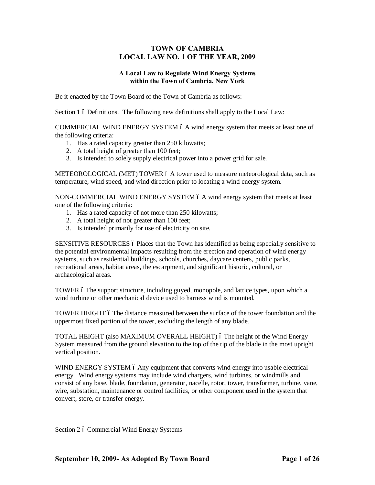## **TOWN OF CAMBRIA LOCAL LAW NO. 1 OF THE YEAR, 2009**

## **A Local Law to Regulate Wind Energy Systems within the Town of Cambria, New York**

Be it enacted by the Town Board of the Town of Cambria as follows:

Section 1 6 Definitions. The following new definitions shall apply to the Local Law:

COMMERCIAL WIND ENERGY SYSTEM 6 A wind energy system that meets at least one of the following criteria:

- 1. Has a rated capacity greater than 250 kilowatts;
- 2. A total height of greater than 100 feet;
- 3. Is intended to solely supply electrical power into a power grid for sale.

METEOROLOGICAL (MET) TOWER 6 A tower used to measure meteorological data, such as temperature, wind speed, and wind direction prior to locating a wind energy system.

NON-COMMERCIAL WIND ENERGY SYSTEM 6 A wind energy system that meets at least one of the following criteria:

- 1. Has a rated capacity of not more than 250 kilowatts;
- 2. A total height of not greater than 100 feet;
- 3. Is intended primarily for use of electricity on site.

SENSITIVE RESOURCES 6 Places that the Town has identified as being especially sensitive to the potential environmental impacts resulting from the erection and operation of wind energy systems, such as residential buildings, schools, churches, daycare centers, public parks, recreational areas, habitat areas, the escarpment, and significant historic, cultural, or archaeological areas.

TOWER 6 The support structure, including guyed, monopole, and lattice types, upon which a wind turbine or other mechanical device used to harness wind is mounted.

TOWER HEIGHT 6 The distance measured between the surface of the tower foundation and the uppermost fixed portion of the tower, excluding the length of any blade.

TOTAL HEIGHT (also MAXIMUM OVERALL HEIGHT) ó The height of the Wind Energy System measured from the ground elevation to the top of the tip of the blade in the most upright vertical position.

WIND ENERGY SYSTEM 6 Any equipment that converts wind energy into usable electrical energy. Wind energy systems may include wind chargers, wind turbines, or windmills and consist of any base, blade, foundation, generator, nacelle, rotor, tower, transformer, turbine, vane, wire, substation, maintenance or control facilities, or other component used in the system that convert, store, or transfer energy.

Section 2 ó Commercial Wind Energy Systems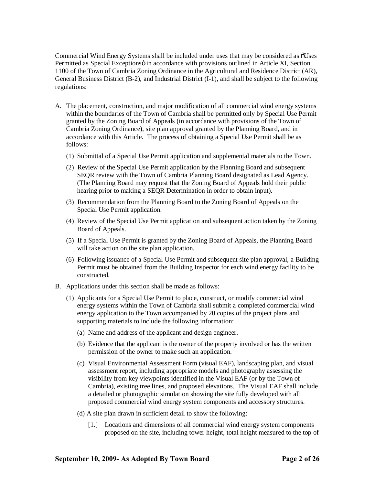Commercial Wind Energy Systems shall be included under uses that may be considered as  $\tilde{\text{o}}$ Uses Permitted as Special Exceptions in accordance with provisions outlined in Article XI, Section 1100 of the Town of Cambria Zoning Ordinance in the Agricultural and Residence District (AR), General Business District (B-2), and Industrial District (I-1), and shall be subject to the following regulations:

- A. The placement, construction, and major modification of all commercial wind energy systems within the boundaries of the Town of Cambria shall be permitted only by Special Use Permit granted by the Zoning Board of Appeals (in accordance with provisions of the Town of Cambria Zoning Ordinance), site plan approval granted by the Planning Board, and in accordance with this Article. The process of obtaining a Special Use Permit shall be as follows:
	- (1) Submittal of a Special Use Permit application and supplemental materials to the Town.
	- (2) Review of the Special Use Permit application by the Planning Board and subsequent SEQR review with the Town of Cambria Planning Board designated as Lead Agency. (The Planning Board may request that the Zoning Board of Appeals hold their public hearing prior to making a SEQR Determination in order to obtain input).
	- (3) Recommendation from the Planning Board to the Zoning Board of Appeals on the Special Use Permit application.
	- (4) Review of the Special Use Permit application and subsequent action taken by the Zoning Board of Appeals.
	- (5) If a Special Use Permit is granted by the Zoning Board of Appeals, the Planning Board will take action on the site plan application.
	- (6) Following issuance of a Special Use Permit and subsequent site plan approval, a Building Permit must be obtained from the Building Inspector for each wind energy facility to be constructed.
- B. Applications under this section shall be made as follows:
	- (1) Applicants for a Special Use Permit to place, construct, or modify commercial wind energy systems within the Town of Cambria shall submit a completed commercial wind energy application to the Town accompanied by 20 copies of the project plans and supporting materials to include the following information:
		- (a) Name and address of the applicant and design engineer.
		- (b) Evidence that the applicant is the owner of the property involved or has the written permission of the owner to make such an application.
		- (c) Visual Environmental Assessment Form (visual EAF), landscaping plan, and visual assessment report, including appropriate models and photography assessing the visibility from key viewpoints identified in the Visual EAF (or by the Town of Cambria), existing tree lines, and proposed elevations. The Visual EAF shall include a detailed or photographic simulation showing the site fully developed with all proposed commercial wind energy system components and accessory structures.
		- (d) A site plan drawn in sufficient detail to show the following:
			- [1.] Locations and dimensions of all commercial wind energy system components proposed on the site, including tower height, total height measured to the top of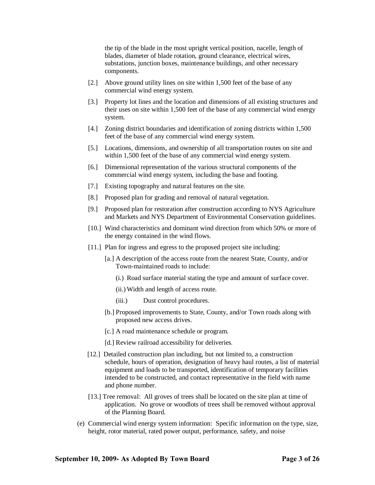the tip of the blade in the most upright vertical position, nacelle, length of blades, diameter of blade rotation, ground clearance, electrical wires, substations, junction boxes, maintenance buildings, and other necessary components.

- [2.] Above ground utility lines on site within 1,500 feet of the base of any commercial wind energy system.
- [3.] Property lot lines and the location and dimensions of all existing structures and their uses on site within 1,500 feet of the base of any commercial wind energy system.
- [4.] Zoning district boundaries and identification of zoning districts within 1,500 feet of the base of any commercial wind energy system.
- [5.] Locations, dimensions, and ownership of all transportation routes on site and within 1,500 feet of the base of any commercial wind energy system.
- [6.] Dimensional representation of the various structural components of the commercial wind energy system, including the base and footing.
- [7.] Existing topography and natural features on the site.
- [8.] Proposed plan for grading and removal of natural vegetation.
- [9.] Proposed plan for restoration after construction according to NYS Agriculture and Markets and NYS Department of Environmental Conservation guidelines.
- [10.] Wind characteristics and dominant wind direction from which 50% or more of the energy contained in the wind flows.
- [11.] Plan for ingress and egress to the proposed project site including:
	- [a.] A description of the access route from the nearest State, County, and/or Town-maintained roads to include:
		- (i.) Road surface material stating the type and amount of surface cover.
		- (ii.) Width and length of access route.
		- (iii.) Dust control procedures.
	- [b.] Proposed improvements to State, County, and/or Town roads along with proposed new access drives.
	- [c.] A road maintenance schedule or program.
	- [d.] Review railroad accessibility for deliveries*.*
- [12.] Detailed construction plan including, but not limited to, a construction schedule, hours of operation, designation of heavy haul routes, a list of material equipment and loads to be transported, identification of temporary facilities intended to be constructed, and contact representative in the field with name and phone number.
- [13.] Tree removal: All groves of trees shall be located on the site plan at time of application. No grove or woodlots of trees shall be removed without approval of the Planning Board.
- (e) Commercial wind energy system information: Specific information on the type, size, height, rotor material, rated power output, performance, safety, and noise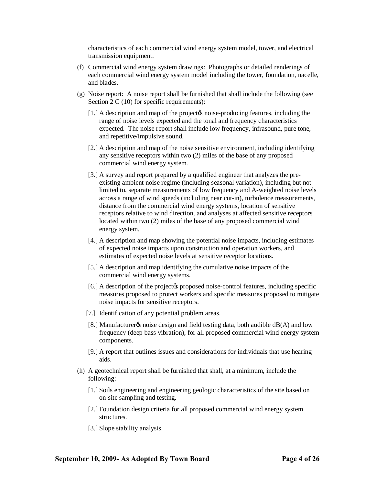characteristics of each commercial wind energy system model, tower, and electrical transmission equipment.

- (f) Commercial wind energy system drawings: Photographs or detailed renderings of each commercial wind energy system model including the tower, foundation, nacelle, and blades.
- (g) Noise report: A noise report shall be furnished that shall include the following (see Section 2 C (10) for specific requirements):
	- [1.] A description and map of the project to noise-producing features, including the range of noise levels expected and the tonal and frequency characteristics expected. The noise report shall include low frequency, infrasound, pure tone, and repetitive/impulsive sound.
	- [2.] A description and map of the noise sensitive environment, including identifying any sensitive receptors within two (2) miles of the base of any proposed commercial wind energy system.
	- [3.] A survey and report prepared by a qualified engineer that analyzes the preexisting ambient noise regime (including seasonal variation), including but not limited to, separate measurements of low frequency and A-weighted noise levels across a range of wind speeds (including near cut-in), turbulence measurements, distance from the commercial wind energy systems, location of sensitive receptors relative to wind direction, and analyses at affected sensitive receptors located within two (2) miles of the base of any proposed commercial wind energy system.
	- [4.] A description and map showing the potential noise impacts, including estimates of expected noise impacts upon construction and operation workers, and estimates of expected noise levels at sensitive receptor locations.
	- [5.] A description and map identifying the cumulative noise impacts of the commercial wind energy systems.
	- [6.] A description of the project to proposed noise-control features, including specific measures proposed to protect workers and specific measures proposed to mitigate noise impacts for sensitive receptors.
	- [7.] Identification of any potential problem areas.
	- [8.] Manufacturer  $\alpha$  noise design and field testing data, both audible  $dB(A)$  and low frequency (deep bass vibration), for all proposed commercial wind energy system components.
	- [9.] A report that outlines issues and considerations for individuals that use hearing aids.
- (h) A geotechnical report shall be furnished that shall, at a minimum, include the following:
	- [1.] Soils engineering and engineering geologic characteristics of the site based on on-site sampling and testing.
	- [2.] Foundation design criteria for all proposed commercial wind energy system structures.
	- [3.] Slope stability analysis.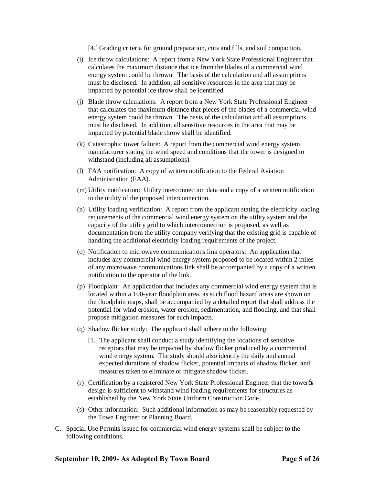[4.] Grading criteria for ground preparation, cuts and fills, and soil compaction.

- (i) Ice throw calculations: A report from a New York State Professional Engineer that calculates the maximum distance that ice from the blades of a commercial wind energy system could be thrown. The basis of the calculation and all assumptions must be disclosed. In addition, all sensitive resources in the area that may be impacted by potential ice throw shall be identified.
- (j) Blade throw calculations: A report from a New York State Professional Engineer that calculates the maximum distance that pieces of the blades of a commercial wind energy system could be thrown. The basis of the calculation and all assumptions must be disclosed. In addition, all sensitive resources in the area that may be impacted by potential blade throw shall be identified.
- (k) Catastrophic tower failure: A report from the commercial wind energy system manufacturer stating the wind speed and conditions that the tower is designed to withstand (including all assumptions).
- (l) FAA notification: A copy of written notification to the Federal Aviation Administration (FAA).
- (m) Utility notification: Utility interconnection data and a copy of a written notification to the utility of the proposed interconnection.
- (n) Utility loading verification: A report from the applicant stating the electricity loading requirements of the commercial wind energy system on the utility system and the capacity of the utility grid to which interconnection is proposed, as well as documentation from the utility company verifying that the existing grid is capable of handling the additional electricity loading requirements of the project.
- (o) Notification to microwave communications link operators: An application that includes any commercial wind energy system proposed to be located within 2 miles of any microwave communications link shall be accompanied by a copy of a written notification to the operator of the link.
- (p) Floodplain: An application that includes any commercial wind energy system that is located within a 100-year floodplain area, as such flood hazard areas are shown on the floodplain maps, shall be accompanied by a detailed report that shall address the potential for wind erosion, water erosion, sedimentation, and flooding, and that shall propose mitigation measures for such impacts.
- (q) Shadow flicker study: The applicant shall adhere to the following:
	- [1.] The applicant shall conduct a study identifying the locations of sensitive receptors that may be impacted by shadow flicker produced by a commercial wind energy system. The study should also identify the daily and annual expected durations of shadow flicker, potential impacts of shadow flicker, and measures taken to eliminate or mitigate shadow flicker.
- $(r)$  Certification by a registered New York State Professional Engineer that the tower  $\alpha$ design is sufficient to withstand wind loading requirements for structures as established by the New York State Uniform Construction Code.
- (s) Other information: Such additional information as may be reasonably requested by the Town Engineer or Planning Board.
- C. Special Use Permits issued for commercial wind energy systems shall be subject to the following conditions.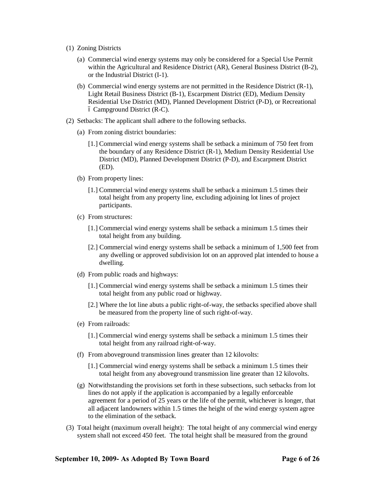- (1) Zoning Districts
	- (a) Commercial wind energy systems may only be considered for a Special Use Permit within the Agricultural and Residence District (AR), General Business District (B-2), or the Industrial District (I-1).
	- (b) Commercial wind energy systems are not permitted in the Residence District (R-1), Light Retail Business District (B-1), Escarpment District (ED), Medium Density Residential Use District (MD), Planned Development District (P-D), or Recreational  $\acute{o}$  Campground District (R-C).
- (2) Setbacks: The applicant shall adhere to the following setbacks.
	- (a) From zoning district boundaries:
		- [1.] Commercial wind energy systems shall be setback a minimum of 750 feet from the boundary of any Residence District (R-1), Medium Density Residential Use District (MD), Planned Development District (P-D), and Escarpment District (ED).
	- (b) From property lines:
		- [1.] Commercial wind energy systems shall be setback a minimum 1.5 times their total height from any property line, excluding adjoining lot lines of project participants.
	- (c) From structures:
		- [1.] Commercial wind energy systems shall be setback a minimum 1.5 times their total height from any building.
		- [2.] Commercial wind energy systems shall be setback a minimum of 1,500 feet from any dwelling or approved subdivision lot on an approved plat intended to house a dwelling.
	- (d) From public roads and highways:
		- [1.] Commercial wind energy systems shall be setback a minimum 1.5 times their total height from any public road or highway.
		- [2.] Where the lot line abuts a public right-of-way, the setbacks specified above shall be measured from the property line of such right-of-way.
	- (e) From railroads:
		- [1.] Commercial wind energy systems shall be setback a minimum 1.5 times their total height from any railroad right-of-way.
	- (f) From aboveground transmission lines greater than 12 kilovolts:
		- [1.] Commercial wind energy systems shall be setback a minimum 1.5 times their total height from any aboveground transmission line greater than 12 kilovolts.
	- (g) Notwithstanding the provisions set forth in these subsections, such setbacks from lot lines do not apply if the application is accompanied by a legally enforceable agreement for a period of 25 years or the life of the permit, whichever is longer, that all adjacent landowners within 1.5 times the height of the wind energy system agree to the elimination of the setback.
- (3) Total height (maximum overall height): The total height of any commercial wind energy system shall not exceed 450 feet. The total height shall be measured from the ground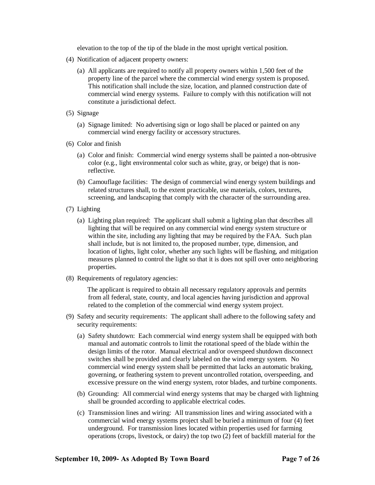elevation to the top of the tip of the blade in the most upright vertical position.

- (4) Notification of adjacent property owners:
	- (a) All applicants are required to notify all property owners within 1,500 feet of the property line of the parcel where the commercial wind energy system is proposed. This notification shall include the size, location, and planned construction date of commercial wind energy systems. Failure to comply with this notification will not constitute a jurisdictional defect.
- (5) Signage
	- (a) Signage limited: No advertising sign or logo shall be placed or painted on any commercial wind energy facility or accessory structures.
- (6) Color and finish
	- (a) Color and finish: Commercial wind energy systems shall be painted a non-obtrusive color (e.g., light environmental color such as white, gray, or beige) that is nonreflective.
	- (b) Camouflage facilities: The design of commercial wind energy system buildings and related structures shall, to the extent practicable, use materials, colors, textures, screening, and landscaping that comply with the character of the surrounding area.
- (7) Lighting
	- (a) Lighting plan required: The applicant shall submit a lighting plan that describes all lighting that will be required on any commercial wind energy system structure or within the site, including any lighting that may be required by the FAA. Such plan shall include, but is not limited to, the proposed number, type, dimension, and location of lights, light color, whether any such lights will be flashing, and mitigation measures planned to control the light so that it is does not spill over onto neighboring properties.
- (8) Requirements of regulatory agencies:

 The applicant is required to obtain all necessary regulatory approvals and permits from all federal, state, county, and local agencies having jurisdiction and approval related to the completion of the commercial wind energy system project.

- (9) Safety and security requirements: The applicant shall adhere to the following safety and security requirements:
	- (a) Safety shutdown: Each commercial wind energy system shall be equipped with both manual and automatic controls to limit the rotational speed of the blade within the design limits of the rotor. Manual electrical and/or overspeed shutdown disconnect switches shall be provided and clearly labeled on the wind energy system. No commercial wind energy system shall be permitted that lacks an automatic braking, governing, or feathering system to prevent uncontrolled rotation, overspeeding, and excessive pressure on the wind energy system, rotor blades, and turbine components.
	- (b) Grounding: All commercial wind energy systems that may be charged with lightning shall be grounded according to applicable electrical codes.
	- (c) Transmission lines and wiring: All transmission lines and wiring associated with a commercial wind energy systems project shall be buried a minimum of four (4) feet underground. For transmission lines located within properties used for farming operations (crops, livestock, or dairy) the top two (2) feet of backfill material for the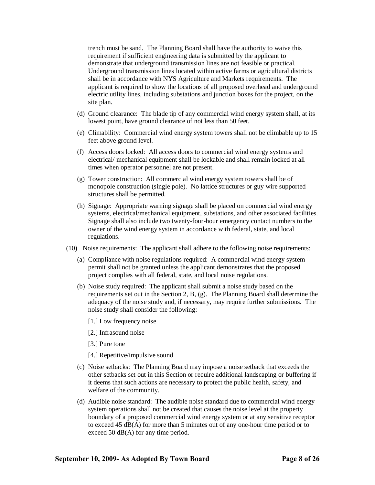trench must be sand. The Planning Board shall have the authority to waive this requirement if sufficient engineering data is submitted by the applicant to demonstrate that underground transmission lines are not feasible or practical. Underground transmission lines located within active farms or agricultural districts shall be in accordance with NYS Agriculture and Markets requirements. The applicant is required to show the locations of all proposed overhead and underground electric utility lines, including substations and junction boxes for the project, on the site plan.

- (d) Ground clearance: The blade tip of any commercial wind energy system shall, at its lowest point, have ground clearance of not less than 50 feet.
- (e) Climability: Commercial wind energy system towers shall not be climbable up to 15 feet above ground level.
- (f) Access doors locked: All access doors to commercial wind energy systems and electrical/ mechanical equipment shall be lockable and shall remain locked at all times when operator personnel are not present.
- (g) Tower construction: All commercial wind energy system towers shall be of monopole construction (single pole). No lattice structures or guy wire supported structures shall be permitted.
- (h) Signage: Appropriate warning signage shall be placed on commercial wind energy systems, electrical/mechanical equipment, substations, and other associated facilities. Signage shall also include two twenty-four-hour emergency contact numbers to the owner of the wind energy system in accordance with federal, state, and local regulations.
- (10) Noise requirements: The applicant shall adhere to the following noise requirements:
	- (a) Compliance with noise regulations required: A commercial wind energy system permit shall not be granted unless the applicant demonstrates that the proposed project complies with all federal, state, and local noise regulations.
	- (b) Noise study required: The applicant shall submit a noise study based on the requirements set out in the Section 2, B, (g). The Planning Board shall determine the adequacy of the noise study and, if necessary, may require further submissions. The noise study shall consider the following:
		- [1.] Low frequency noise
		- [2.] Infrasound noise
		- [3.] Pure tone
		- [4.] Repetitive/impulsive sound
	- (c) Noise setbacks: The Planning Board may impose a noise setback that exceeds the other setbacks set out in this Section or require additional landscaping or buffering if it deems that such actions are necessary to protect the public health, safety, and welfare of the community.
	- (d) Audible noise standard: The audible noise standard due to commercial wind energy system operations shall not be created that causes the noise level at the property boundary of a proposed commercial wind energy system or at any sensitive receptor to exceed 45 dB(A) for more than 5 minutes out of any one-hour time period or to exceed 50 dB(A) for any time period.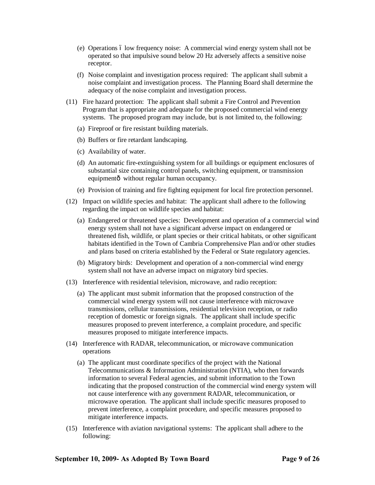- $(e)$  Operations 6 low frequency noise: A commercial wind energy system shall not be operated so that impulsive sound below 20 Hz adversely affects a sensitive noise receptor.
- (f) Noise complaint and investigation process required: The applicant shall submit a noise complaint and investigation process. The Planning Board shall determine the adequacy of the noise complaint and investigation process.
- (11) Fire hazard protection: The applicant shall submit a Fire Control and Prevention Program that is appropriate and adequate for the proposed commercial wind energy systems. The proposed program may include, but is not limited to, the following:
	- (a) Fireproof or fire resistant building materials.
	- (b) Buffers or fire retardant landscaping.
	- (c) Availability of water.
	- (d) An automatic fire-extinguishing system for all buildings or equipment enclosures of substantial size containing control panels, switching equipment, or transmission equipmentô without regular human occupancy.
	- (e) Provision of training and fire fighting equipment for local fire protection personnel.
- (12) Impact on wildlife species and habitat: The applicant shall adhere to the following regarding the impact on wildlife species and habitat:
	- (a) Endangered or threatened species: Development and operation of a commercial wind energy system shall not have a significant adverse impact on endangered or threatened fish, wildlife, or plant species or their critical habitats, or other significant habitats identified in the Town of Cambria Comprehensive Plan and/or other studies and plans based on criteria established by the Federal or State regulatory agencies.
	- (b) Migratory birds: Development and operation of a non-commercial wind energy system shall not have an adverse impact on migratory bird species.
- (13) Interference with residential television, microwave, and radio reception:
	- (a) The applicant must submit information that the proposed construction of the commercial wind energy system will not cause interference with microwave transmissions, cellular transmissions, residential television reception, or radio reception of domestic or foreign signals. The applicant shall include specific measures proposed to prevent interference, a complaint procedure, and specific measures proposed to mitigate interference impacts.
- (14) Interference with RADAR, telecommunication, or microwave communication operations
	- (a) The applicant must coordinate specifics of the project with the National Telecommunications & Information Administration (NTIA), who then forwards information to several Federal agencies, and submit information to the Town indicating that the proposed construction of the commercial wind energy system will not cause interference with any government RADAR, telecommunication, or microwave operation. The applicant shall include specific measures proposed to prevent interference, a complaint procedure, and specific measures proposed to mitigate interference impacts.
- (15) Interference with aviation navigational systems: The applicant shall adhere to the following: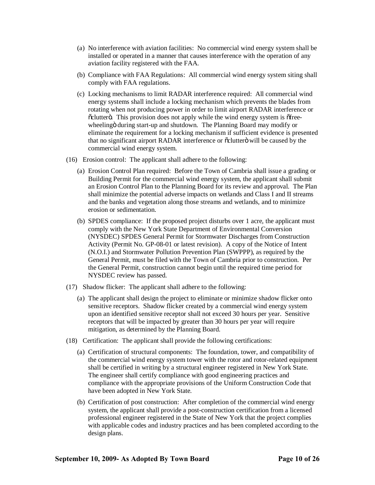- (a) No interference with aviation facilities: No commercial wind energy system shall be installed or operated in a manner that causes interference with the operation of any aviation facility registered with the FAA.
- (b) Compliance with FAA Regulations: All commercial wind energy system siting shall comply with FAA regulations.
- (c) Locking mechanisms to limit RADAR interference required: All commercial wind energy systems shall include a locking mechanism which prevents the blades from rotating when not producing power in order to limit airport RADAR interference or  $\ddot{\text{o}}$ clutterö. This provision does not apply while the wind energy system is  $\ddot{\text{o}}$ freewheeling i during start-up and shutdown. The Planning Board may modify or eliminate the requirement for a locking mechanism if sufficient evidence is presented that no significant airport RADAR interference or  $\ddot{\text{o}}$ clutter $\ddot{\text{o}}$  will be caused by the commercial wind energy system.
- (16) Erosion control: The applicant shall adhere to the following:
	- (a) Erosion Control Plan required: Before the Town of Cambria shall issue a grading or Building Permit for the commercial wind energy system, the applicant shall submit an Erosion Control Plan to the Planning Board for its review and approval. The Plan shall minimize the potential adverse impacts on wetlands and Class I and II streams and the banks and vegetation along those streams and wetlands, and to minimize erosion or sedimentation.
	- (b) SPDES compliance: If the proposed project disturbs over 1 acre, the applicant must comply with the New York State Department of Environmental Conversion (NYSDEC) SPDES General Permit for Stormwater Discharges from Construction Activity (Permit No. GP-08-01 or latest revision). A copy of the Notice of Intent (N.O.I.) and Stormwater Pollution Prevention Plan (SWPPP), as required by the General Permit, must be filed with the Town of Cambria prior to construction. Per the General Permit, construction cannot begin until the required time period for NYSDEC review has passed.
- (17) Shadow flicker: The applicant shall adhere to the following:
	- (a) The applicant shall design the project to eliminate or minimize shadow flicker onto sensitive receptors. Shadow flicker created by a commercial wind energy system upon an identified sensitive receptor shall not exceed 30 hours per year. Sensitive receptors that will be impacted by greater than 30 hours per year will require mitigation, as determined by the Planning Board.
- (18) Certification: The applicant shall provide the following certifications:
	- (a) Certification of structural components: The foundation, tower, and compatibility of the commercial wind energy system tower with the rotor and rotor-related equipment shall be certified in writing by a structural engineer registered in New York State. The engineer shall certify compliance with good engineering practices and compliance with the appropriate provisions of the Uniform Construction Code that have been adopted in New York State.
	- (b) Certification of post construction: After completion of the commercial wind energy system, the applicant shall provide a post-construction certification from a licensed professional engineer registered in the State of New York that the project complies with applicable codes and industry practices and has been completed according to the design plans.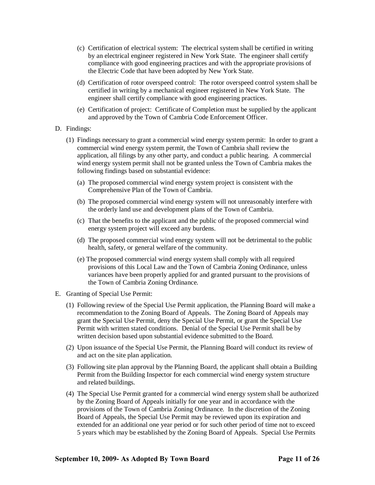- (c) Certification of electrical system: The electrical system shall be certified in writing by an electrical engineer registered in New York State. The engineer shall certify compliance with good engineering practices and with the appropriate provisions of the Electric Code that have been adopted by New York State.
- (d) Certification of rotor overspeed control: The rotor overspeed control system shall be certified in writing by a mechanical engineer registered in New York State. The engineer shall certify compliance with good engineering practices.
- (e) Certification of project: Certificate of Completion must be supplied by the applicant and approved by the Town of Cambria Code Enforcement Officer.
- D. Findings:
	- (1) Findings necessary to grant a commercial wind energy system permit: In order to grant a commercial wind energy system permit, the Town of Cambria shall review the application, all filings by any other party, and conduct a public hearing. A commercial wind energy system permit shall not be granted unless the Town of Cambria makes the following findings based on substantial evidence:
		- (a) The proposed commercial wind energy system project is consistent with the Comprehensive Plan of the Town of Cambria.
		- (b) The proposed commercial wind energy system will not unreasonably interfere with the orderly land use and development plans of the Town of Cambria.
		- (c) That the benefits to the applicant and the public of the proposed commercial wind energy system project will exceed any burdens.
		- (d) The proposed commercial wind energy system will not be detrimental to the public health, safety, or general welfare of the community.
		- (e) The proposed commercial wind energy system shall comply with all required provisions of this Local Law and the Town of Cambria Zoning Ordinance, unless variances have been properly applied for and granted pursuant to the provisions of the Town of Cambria Zoning Ordinance.
- E. Granting of Special Use Permit:
	- (1) Following review of the Special Use Permit application, the Planning Board will make a recommendation to the Zoning Board of Appeals. The Zoning Board of Appeals may grant the Special Use Permit, deny the Special Use Permit, or grant the Special Use Permit with written stated conditions. Denial of the Special Use Permit shall be by written decision based upon substantial evidence submitted to the Board.
	- (2) Upon issuance of the Special Use Permit, the Planning Board will conduct its review of and act on the site plan application.
	- (3) Following site plan approval by the Planning Board, the applicant shall obtain a Building Permit from the Building Inspector for each commercial wind energy system structure and related buildings.
	- (4) The Special Use Permit granted for a commercial wind energy system shall be authorized by the Zoning Board of Appeals initially for one year and in accordance with the provisions of the Town of Cambria Zoning Ordinance. In the discretion of the Zoning Board of Appeals, the Special Use Permit may be reviewed upon its expiration and extended for an additional one year period or for such other period of time not to exceed 5 years which may be established by the Zoning Board of Appeals. Special Use Permits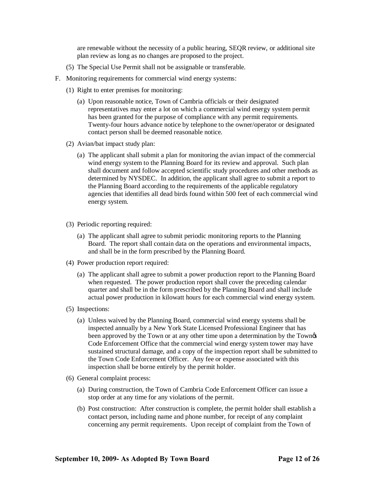are renewable without the necessity of a public hearing, SEQR review, or additional site plan review as long as no changes are proposed to the project.

- (5) The Special Use Permit shall not be assignable or transferable.
- F. Monitoring requirements for commercial wind energy systems:
	- (1) Right to enter premises for monitoring:
		- (a) Upon reasonable notice, Town of Cambria officials or their designated representatives may enter a lot on which a commercial wind energy system permit has been granted for the purpose of compliance with any permit requirements*.* Twenty-four hours advance notice by telephone to the owner/operator or designated contact person shall be deemed reasonable notice.
	- (2) Avian/bat impact study plan:
		- (a) The applicant shall submit a plan for monitoring the avian impact of the commercial wind energy system to the Planning Board for its review and approval. Such plan shall document and follow accepted scientific study procedures and other methods as determined by NYSDEC. In addition, the applicant shall agree to submit a report to the Planning Board according to the requirements of the applicable regulatory agencies that identifies all dead birds found within 500 feet of each commercial wind energy system.
	- (3) Periodic reporting required:
		- (a) The applicant shall agree to submit periodic monitoring reports to the Planning Board. The report shall contain data on the operations and environmental impacts, and shall be in the form prescribed by the Planning Board.
	- (4) Power production report required:
		- (a) The applicant shall agree to submit a power production report to the Planning Board when requested. The power production report shall cover the preceding calendar quarter and shall be in the form prescribed by the Planning Board and shall include actual power production in kilowatt hours for each commercial wind energy system.
	- (5) Inspections:
		- (a) Unless waived by the Planning Board, commercial wind energy systems shall be inspected annually by a New York State Licensed Professional Engineer that has been approved by the Town or at any other time upon a determination by the Town Code Enforcement Office that the commercial wind energy system tower may have sustained structural damage, and a copy of the inspection report shall be submitted to the Town Code Enforcement Officer. Any fee or expense associated with this inspection shall be borne entirely by the permit holder.
	- (6) General complaint process:
		- (a) During construction, the Town of Cambria Code Enforcement Officer can issue a stop order at any time for any violations of the permit.
		- (b) Post construction: After construction is complete, the permit holder shall establish a contact person, including name and phone number, for receipt of any complaint concerning any permit requirements. Upon receipt of complaint from the Town of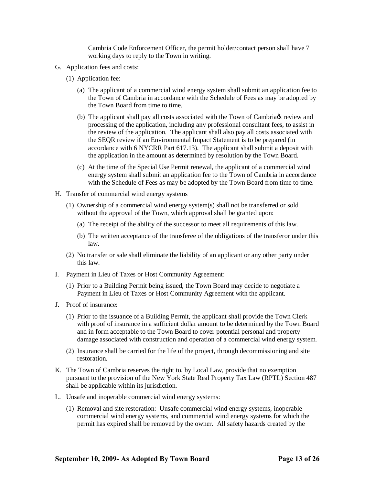Cambria Code Enforcement Officer, the permit holder/contact person shall have 7 working days to reply to the Town in writing.

- G. Application fees and costs:
	- (1) Application fee:
		- (a) The applicant of a commercial wind energy system shall submit an application fee to the Town of Cambria in accordance with the Schedule of Fees as may be adopted by the Town Board from time to time.
		- (b) The applicant shall pay all costs associated with the Town of Cambria  $\alpha$  review and processing of the application, including any professional consultant fees, to assist in the review of the application. The applicant shall also pay all costs associated with the SEQR review if an Environmental Impact Statement is to be prepared (in accordance with 6 NYCRR Part 617.13). The applicant shall submit a deposit with the application in the amount as determined by resolution by the Town Board.
		- (c) At the time of the Special Use Permit renewal, the applicant of a commercial wind energy system shall submit an application fee to the Town of Cambria in accordance with the Schedule of Fees as may be adopted by the Town Board from time to time.
- H. Transfer of commercial wind energy systems
	- (1) Ownership of a commercial wind energy system(s) shall not be transferred or sold without the approval of the Town, which approval shall be granted upon:
		- (a) The receipt of the ability of the successor to meet all requirements of this law.
		- (b) The written acceptance of the transferee of the obligations of the transferor under this law.
	- (2) No transfer or sale shall eliminate the liability of an applicant or any other party under this law.
- I. Payment in Lieu of Taxes or Host Community Agreement:
	- (1) Prior to a Building Permit being issued, the Town Board may decide to negotiate a Payment in Lieu of Taxes or Host Community Agreement with the applicant.
- J. Proof of insurance:
	- (1) Prior to the issuance of a Building Permit, the applicant shall provide the Town Clerk with proof of insurance in a sufficient dollar amount to be determined by the Town Board and in form acceptable to the Town Board to cover potential personal and property damage associated with construction and operation of a commercial wind energy system.
	- (2) Insurance shall be carried for the life of the project, through decommissioning and site restoration.
- K. The Town of Cambria reserves the right to, by Local Law, provide that no exemption pursuant to the provision of the New York State Real Property Tax Law (RPTL) Section 487 shall be applicable within its jurisdiction.
- L. Unsafe and inoperable commercial wind energy systems:
	- (1) Removal and site restoration: Unsafe commercial wind energy systems, inoperable commercial wind energy systems, and commercial wind energy systems for which the permit has expired shall be removed by the owner. All safety hazards created by the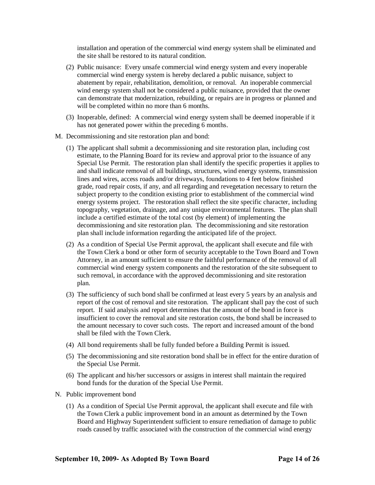installation and operation of the commercial wind energy system shall be eliminated and the site shall be restored to its natural condition.

- (2) Public nuisance: Every unsafe commercial wind energy system and every inoperable commercial wind energy system is hereby declared a public nuisance, subject to abatement by repair, rehabilitation, demolition, or removal. An inoperable commercial wind energy system shall not be considered a public nuisance, provided that the owner can demonstrate that modernization, rebuilding, or repairs are in progress or planned and will be completed within no more than 6 months.
- (3) Inoperable, defined: A commercial wind energy system shall be deemed inoperable if it has not generated power within the preceding 6 months.
- M. Decommissioning and site restoration plan and bond:
	- (1) The applicant shall submit a decommissioning and site restoration plan, including cost estimate, to the Planning Board for its review and approval prior to the issuance of any Special Use Permit. The restoration plan shall identify the specific properties it applies to and shall indicate removal of all buildings, structures, wind energy systems, transmission lines and wires, access roads and/or driveways, foundations to 4 feet below finished grade, road repair costs, if any, and all regarding and revegetation necessary to return the subject property to the condition existing prior to establishment of the commercial wind energy systems project. The restoration shall reflect the site specific character, including topography, vegetation, drainage, and any unique environmental features. The plan shall include a certified estimate of the total cost (by element) of implementing the decommissioning and site restoration plan. The decommissioning and site restoration plan shall include information regarding the anticipated life of the project.
	- (2) As a condition of Special Use Permit approval, the applicant shall execute and file with the Town Clerk a bond or other form of security acceptable to the Town Board and Town Attorney, in an amount sufficient to ensure the faithful performance of the removal of all commercial wind energy system components and the restoration of the site subsequent to such removal, in accordance with the approved decommissioning and site restoration plan.
	- (3) The sufficiency of such bond shall be confirmed at least every 5 years by an analysis and report of the cost of removal and site restoration. The applicant shall pay the cost of such report. If said analysis and report determines that the amount of the bond in force is insufficient to cover the removal and site restoration costs, the bond shall be increased to the amount necessary to cover such costs. The report and increased amount of the bond shall be filed with the Town Clerk.
	- (4) All bond requirements shall be fully funded before a Building Permit is issued.
	- (5) The decommissioning and site restoration bond shall be in effect for the entire duration of the Special Use Permit.
	- (6) The applicant and his/her successors or assigns in interest shall maintain the required bond funds for the duration of the Special Use Permit.
- N. Public improvement bond
	- (1) As a condition of Special Use Permit approval, the applicant shall execute and file with the Town Clerk a public improvement bond in an amount as determined by the Town Board and Highway Superintendent sufficient to ensure remediation of damage to public roads caused by traffic associated with the construction of the commercial wind energy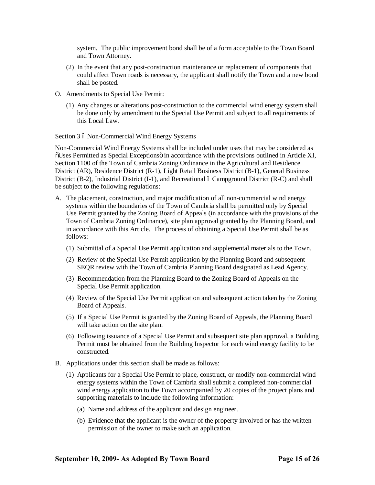system. The public improvement bond shall be of a form acceptable to the Town Board and Town Attorney.

- (2) In the event that any post-construction maintenance or replacement of components that could affect Town roads is necessary, the applicant shall notify the Town and a new bond shall be posted.
- O. Amendments to Special Use Permit:
	- (1) Any changes or alterations post-construction to the commercial wind energy system shall be done only by amendment to the Special Use Permit and subject to all requirements of this Local Law.

Section 3 6 Non-Commercial Wind Energy Systems

Non-Commercial Wind Energy Systems shall be included under uses that may be considered as  $\delta$ Uses Permitted as Special Exceptions in accordance with the provisions outlined in Article XI, Section 1100 of the Town of Cambria Zoning Ordinance in the Agricultural and Residence District (AR), Residence District (R-1), Light Retail Business District (B-1), General Business District (B-2), Industrial District (I-1), and Recreational  $\acute{o}$  Campground District (R-C) and shall be subject to the following regulations:

- A. The placement, construction, and major modification of all non-commercial wind energy systems within the boundaries of the Town of Cambria shall be permitted only by Special Use Permit granted by the Zoning Board of Appeals (in accordance with the provisions of the Town of Cambria Zoning Ordinance), site plan approval granted by the Planning Board, and in accordance with this Article. The process of obtaining a Special Use Permit shall be as follows:
	- (1) Submittal of a Special Use Permit application and supplemental materials to the Town.
	- (2) Review of the Special Use Permit application by the Planning Board and subsequent SEQR review with the Town of Cambria Planning Board designated as Lead Agency.
	- (3) Recommendation from the Planning Board to the Zoning Board of Appeals on the Special Use Permit application.
	- (4) Review of the Special Use Permit application and subsequent action taken by the Zoning Board of Appeals.
	- (5) If a Special Use Permit is granted by the Zoning Board of Appeals, the Planning Board will take action on the site plan.
	- (6) Following issuance of a Special Use Permit and subsequent site plan approval, a Building Permit must be obtained from the Building Inspector for each wind energy facility to be constructed.
- B. Applications under this section shall be made as follows:
	- (1) Applicants for a Special Use Permit to place, construct, or modify non-commercial wind energy systems within the Town of Cambria shall submit a completed non-commercial wind energy application to the Town accompanied by 20 copies of the project plans and supporting materials to include the following information:
		- (a) Name and address of the applicant and design engineer.
		- (b) Evidence that the applicant is the owner of the property involved or has the written permission of the owner to make such an application.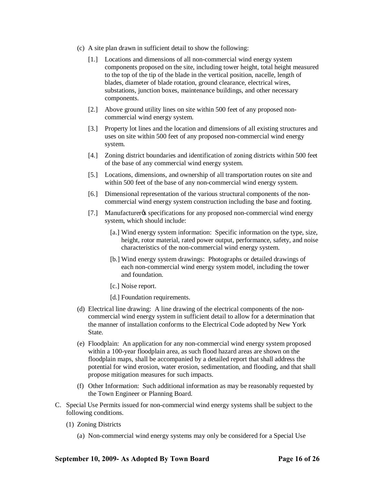- (c) A site plan drawn in sufficient detail to show the following:
	- [1.] Locations and dimensions of all non-commercial wind energy system components proposed on the site, including tower height, total height measured to the top of the tip of the blade in the vertical position, nacelle, length of blades, diameter of blade rotation, ground clearance, electrical wires, substations, junction boxes, maintenance buildings, and other necessary components.
	- [2.] Above ground utility lines on site within 500 feet of any proposed noncommercial wind energy system.
	- [3.] Property lot lines and the location and dimensions of all existing structures and uses on site within 500 feet of any proposed non-commercial wind energy system.
	- [4.] Zoning district boundaries and identification of zoning districts within 500 feet of the base of any commercial wind energy system.
	- [5.] Locations, dimensions, and ownership of all transportation routes on site and within 500 feet of the base of any non-commercial wind energy system.
	- [6.] Dimensional representation of the various structural components of the noncommercial wind energy system construction including the base and footing.
	- [7.] Manufacturer ts specifications for any proposed non-commercial wind energy system, which should include:
		- [a.] Wind energy system information: Specific information on the type, size, height, rotor material, rated power output, performance, safety, and noise characteristics of the non-commercial wind energy system.
		- [b.] Wind energy system drawings: Photographs or detailed drawings of each non-commercial wind energy system model, including the tower and foundation.
		- [c.] Noise report.
		- [d.] Foundation requirements.
- (d) Electrical line drawing: A line drawing of the electrical components of the noncommercial wind energy system in sufficient detail to allow for a determination that the manner of installation conforms to the Electrical Code adopted by New York State.
- (e) Floodplain: An application for any non-commercial wind energy system proposed within a 100-year floodplain area, as such flood hazard areas are shown on the floodplain maps, shall be accompanied by a detailed report that shall address the potential for wind erosion, water erosion, sedimentation, and flooding, and that shall propose mitigation measures for such impacts.
- (f) Other Information: Such additional information as may be reasonably requested by the Town Engineer or Planning Board.
- C. Special Use Permits issued for non-commercial wind energy systems shall be subject to the following conditions.
	- (1) Zoning Districts
		- (a) Non-commercial wind energy systems may only be considered for a Special Use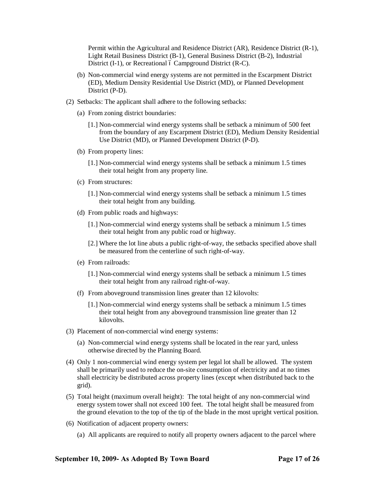Permit within the Agricultural and Residence District (AR), Residence District (R-1), Light Retail Business District (B-1), General Business District (B-2), Industrial District  $(I-1)$ , or Recreational 6 Campground District  $(R-C)$ .

- (b) Non-commercial wind energy systems are not permitted in the Escarpment District (ED), Medium Density Residential Use District (MD), or Planned Development District (P-D).
- (2) Setbacks: The applicant shall adhere to the following setbacks:
	- (a) From zoning district boundaries:
		- [1.] Non-commercial wind energy systems shall be setback a minimum of 500 feet from the boundary of any Escarpment District (ED), Medium Density Residential Use District (MD), or Planned Development District (P-D).
	- (b) From property lines:
		- [1.] Non-commercial wind energy systems shall be setback a minimum 1.5 times their total height from any property line.
	- (c) From structures:
		- [1.] Non-commercial wind energy systems shall be setback a minimum 1.5 times their total height from any building.
	- (d) From public roads and highways:
		- [1.] Non-commercial wind energy systems shall be setback a minimum 1.5 times their total height from any public road or highway.
		- [2.] Where the lot line abuts a public right-of-way, the setbacks specified above shall be measured from the centerline of such right-of-way.
	- (e) From railroads:
		- [1.] Non-commercial wind energy systems shall be setback a minimum 1.5 times their total height from any railroad right-of-way.
	- (f) From aboveground transmission lines greater than 12 kilovolts:
		- [1.] Non-commercial wind energy systems shall be setback a minimum 1.5 times their total height from any aboveground transmission line greater than 12 kilovolts.
- (3) Placement of non-commercial wind energy systems:
	- (a) Non-commercial wind energy systems shall be located in the rear yard, unless otherwise directed by the Planning Board.
- (4) Only 1 non-commercial wind energy system per legal lot shall be allowed. The system shall be primarily used to reduce the on-site consumption of electricity and at no times shall electricity be distributed across property lines (except when distributed back to the grid).
- (5) Total height (maximum overall height): The total height of any non-commercial wind energy system tower shall not exceed 100 feet. The total height shall be measured from the ground elevation to the top of the tip of the blade in the most upright vertical position.
- (6) Notification of adjacent property owners:
	- (a) All applicants are required to notify all property owners adjacent to the parcel where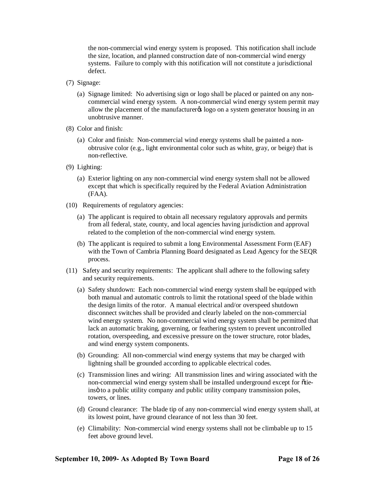the non-commercial wind energy system is proposed. This notification shall include the size, location, and planned construction date of non-commercial wind energy systems. Failure to comply with this notification will not constitute a jurisdictional defect.

- (7) Signage:
	- (a) Signage limited: No advertising sign or logo shall be placed or painted on any noncommercial wind energy system. A non-commercial wind energy system permit may allow the placement of the manufacturer<sub>o</sub> logo on a system generator housing in an unobtrusive manner.
- (8) Color and finish:
	- (a) Color and finish: Non-commercial wind energy systems shall be painted a nonobtrusive color (e.g., light environmental color such as white, gray, or beige) that is non-reflective.
- (9) Lighting:
	- (a) Exterior lighting on any non-commercial wind energy system shall not be allowed except that which is specifically required by the Federal Aviation Administration (FAA).
- (10) Requirements of regulatory agencies:
	- (a) The applicant is required to obtain all necessary regulatory approvals and permits from all federal, state, county, and local agencies having jurisdiction and approval related to the completion of the non-commercial wind energy system.
	- (b) The applicant is required to submit a long Environmental Assessment Form (EAF) with the Town of Cambria Planning Board designated as Lead Agency for the SEQR process.
- (11) Safety and security requirements: The applicant shall adhere to the following safety and security requirements.
	- (a) Safety shutdown: Each non-commercial wind energy system shall be equipped with both manual and automatic controls to limit the rotational speed of the blade within the design limits of the rotor. A manual electrical and/or overspeed shutdown disconnect switches shall be provided and clearly labeled on the non-commercial wind energy system. No non-commercial wind energy system shall be permitted that lack an automatic braking, governing, or feathering system to prevent uncontrolled rotation, overspeeding, and excessive pressure on the tower structure, rotor blades, and wind energy system components.
	- (b) Grounding: All non-commercial wind energy systems that may be charged with lightning shall be grounded according to applicable electrical codes.
	- (c) Transmission lines and wiring: All transmission lines and wiring associated with the non-commercial wind energy system shall be installed underground except for otieinsö to a public utility company and public utility company transmission poles, towers, or lines.
	- (d) Ground clearance: The blade tip of any non-commercial wind energy system shall, at its lowest point, have ground clearance of not less than 30 feet.
	- (e) Climability: Non-commercial wind energy systems shall not be climbable up to 15 feet above ground level.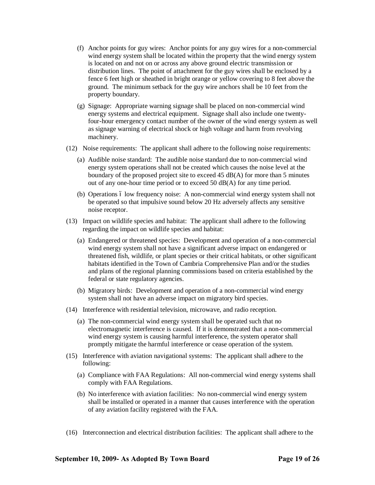- (f) Anchor points for guy wires: Anchor points for any guy wires for a non-commercial wind energy system shall be located within the property that the wind energy system is located on and not on or across any above ground electric transmission or distribution lines. The point of attachment for the guy wires shall be enclosed by a fence 6 feet high or sheathed in bright orange or yellow covering to 8 feet above the ground. The minimum setback for the guy wire anchors shall be 10 feet from the property boundary.
- (g) Signage: Appropriate warning signage shall be placed on non-commercial wind energy systems and electrical equipment. Signage shall also include one twentyfour-hour emergency contact number of the owner of the wind energy system as well as signage warning of electrical shock or high voltage and harm from revolving machinery.
- (12) Noise requirements: The applicant shall adhere to the following noise requirements:
	- (a) Audible noise standard: The audible noise standard due to non-commercial wind energy system operations shall not be created which causes the noise level at the boundary of the proposed project site to exceed 45 dB(A) for more than 5 minutes out of any one-hour time period or to exceed 50 dB(A) for any time period.
	- (b) Operations 6 low frequency noise: A non-commercial wind energy system shall not be operated so that impulsive sound below 20 Hz adversely affects any sensitive noise receptor.
- (13) Impact on wildlife species and habitat: The applicant shall adhere to the following regarding the impact on wildlife species and habitat:
	- (a) Endangered or threatened species: Development and operation of a non-commercial wind energy system shall not have a significant adverse impact on endangered or threatened fish, wildlife, or plant species or their critical habitats, or other significant habitats identified in the Town of Cambria Comprehensive Plan and/or the studies and plans of the regional planning commissions based on criteria established by the federal or state regulatory agencies.
	- (b) Migratory birds: Development and operation of a non-commercial wind energy system shall not have an adverse impact on migratory bird species.
- (14) Interference with residential television, microwave, and radio reception.
	- (a) The non-commercial wind energy system shall be operated such that no electromagnetic interference is caused. If it is demonstrated that a non-commercial wind energy system is causing harmful interference, the system operator shall promptly mitigate the harmful interference or cease operation of the system.
- (15) Interference with aviation navigational systems: The applicant shall adhere to the following:
	- (a) Compliance with FAA Regulations: All non-commercial wind energy systems shall comply with FAA Regulations.
	- (b) No interference with aviation facilities: No non-commercial wind energy system shall be installed or operated in a manner that causes interference with the operation of any aviation facility registered with the FAA.
- (16) Interconnection and electrical distribution facilities: The applicant shall adhere to the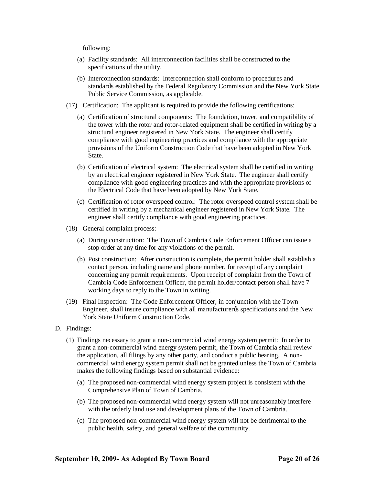following:

- (a) Facility standards: All interconnection facilities shall be constructed to the specifications of the utility.
- (b) Interconnection standards: Interconnection shall conform to procedures and standards established by the Federal Regulatory Commission and the New York State Public Service Commission, as applicable.
- (17) Certification: The applicant is required to provide the following certifications:
	- (a) Certification of structural components: The foundation, tower, and compatibility of the tower with the rotor and rotor-related equipment shall be certified in writing by a structural engineer registered in New York State. The engineer shall certify compliance with good engineering practices and compliance with the appropriate provisions of the Uniform Construction Code that have been adopted in New York State.
	- (b) Certification of electrical system: The electrical system shall be certified in writing by an electrical engineer registered in New York State. The engineer shall certify compliance with good engineering practices and with the appropriate provisions of the Electrical Code that have been adopted by New York State.
	- (c) Certification of rotor overspeed control: The rotor overspeed control system shall be certified in writing by a mechanical engineer registered in New York State. The engineer shall certify compliance with good engineering practices.
- (18) General complaint process:
	- (a) During construction: The Town of Cambria Code Enforcement Officer can issue a stop order at any time for any violations of the permit.
	- (b) Post construction: After construction is complete, the permit holder shall establish a contact person, including name and phone number, for receipt of any complaint concerning any permit requirements. Upon receipt of complaint from the Town of Cambria Code Enforcement Officer, the permit holder/contact person shall have 7 working days to reply to the Town in writing.
- (19) Final Inspection: The Code Enforcement Officer, in conjunction with the Town Engineer, shall insure compliance with all manufacturery specifications and the New York State Uniform Construction Code.
- D. Findings:
	- (1) Findings necessary to grant a non-commercial wind energy system permit: In order to grant a non-commercial wind energy system permit, the Town of Cambria shall review the application, all filings by any other party, and conduct a public hearing. A noncommercial wind energy system permit shall not be granted unless the Town of Cambria makes the following findings based on substantial evidence:
		- (a) The proposed non-commercial wind energy system project is consistent with the Comprehensive Plan of Town of Cambria.
		- (b) The proposed non-commercial wind energy system will not unreasonably interfere with the orderly land use and development plans of the Town of Cambria.
		- (c) The proposed non-commercial wind energy system will not be detrimental to the public health, safety, and general welfare of the community.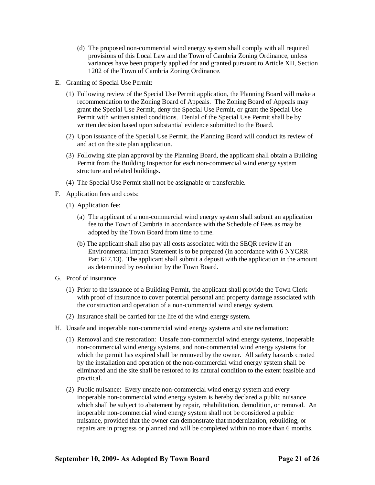- (d) The proposed non-commercial wind energy system shall comply with all required provisions of this Local Law and the Town of Cambria Zoning Ordinance, unless variances have been properly applied for and granted pursuant to Article XII, Section 1202 of the Town of Cambria Zoning Ordinance*.*
- E. Granting of Special Use Permit:
	- (1) Following review of the Special Use Permit application, the Planning Board will make a recommendation to the Zoning Board of Appeals. The Zoning Board of Appeals may grant the Special Use Permit, deny the Special Use Permit, or grant the Special Use Permit with written stated conditions. Denial of the Special Use Permit shall be by written decision based upon substantial evidence submitted to the Board.
	- (2) Upon issuance of the Special Use Permit, the Planning Board will conduct its review of and act on the site plan application.
	- (3) Following site plan approval by the Planning Board, the applicant shall obtain a Building Permit from the Building Inspector for each non-commercial wind energy system structure and related buildings.
	- (4) The Special Use Permit shall not be assignable or transferable.
- F. Application fees and costs:
	- (1) Application fee:
		- (a) The applicant of a non-commercial wind energy system shall submit an application fee to the Town of Cambria in accordance with the Schedule of Fees as may be adopted by the Town Board from time to time.
		- (b) The applicant shall also pay all costs associated with the SEQR review if an Environmental Impact Statement is to be prepared (in accordance with 6 NYCRR Part 617.13). The applicant shall submit a deposit with the application in the amount as determined by resolution by the Town Board.
- G. Proof of insurance
	- (1) Prior to the issuance of a Building Permit, the applicant shall provide the Town Clerk with proof of insurance to cover potential personal and property damage associated with the construction and operation of a non-commercial wind energy system.
	- (2) Insurance shall be carried for the life of the wind energy system.
- H. Unsafe and inoperable non-commercial wind energy systems and site reclamation:
	- (1) Removal and site restoration: Unsafe non-commercial wind energy systems, inoperable non-commercial wind energy systems, and non-commercial wind energy systems for which the permit has expired shall be removed by the owner. All safety hazards created by the installation and operation of the non-commercial wind energy system shall be eliminated and the site shall be restored to its natural condition to the extent feasible and practical.
	- (2) Public nuisance: Every unsafe non-commercial wind energy system and every inoperable non-commercial wind energy system is hereby declared a public nuisance which shall be subject to abatement by repair, rehabilitation, demolition, or removal. An inoperable non-commercial wind energy system shall not be considered a public nuisance, provided that the owner can demonstrate that modernization, rebuilding, or repairs are in progress or planned and will be completed within no more than 6 months.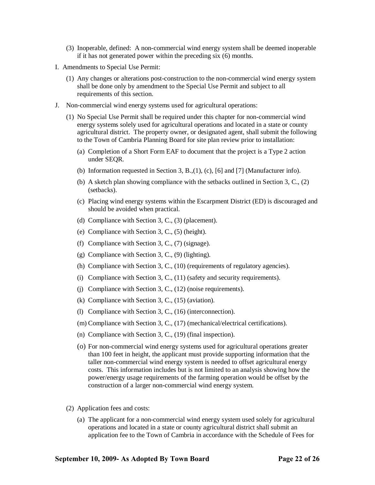- (3) Inoperable, defined: A non-commercial wind energy system shall be deemed inoperable if it has not generated power within the preceding six (6) months.
- I. Amendments to Special Use Permit:
	- (1) Any changes or alterations post-construction to the non-commercial wind energy system shall be done only by amendment to the Special Use Permit and subject to all requirements of this section.
- J. Non-commercial wind energy systems used for agricultural operations:
	- (1) No Special Use Permit shall be required under this chapter for non-commercial wind energy systems solely used for agricultural operations and located in a state or county agricultural district. The property owner, or designated agent, shall submit the following to the Town of Cambria Planning Board for site plan review prior to installation:
		- (a) Completion of a Short Form EAF to document that the project is a Type 2 action under SEQR.
		- (b) Information requested in Section 3, B.,(1), (c), [6] and [7] (Manufacturer info).
		- (b) A sketch plan showing compliance with the setbacks outlined in Section 3, C., (2) (setbacks).
		- (c) Placing wind energy systems within the Escarpment District (ED) is discouraged and should be avoided when practical.
		- (d) Compliance with Section 3, C., (3) (placement).
		- (e) Compliance with Section 3, C., (5) (height).
		- (f) Compliance with Section 3, C., (7) (signage).
		- (g) Compliance with Section 3, C., (9) (lighting).
		- (h) Compliance with Section 3, C., (10) (requirements of regulatory agencies).
		- (i) Compliance with Section 3, C., (11) (safety and security requirements).
		- (j) Compliance with Section 3, C., (12) (noise requirements).
		- (k) Compliance with Section 3, C., (15) (aviation).
		- (l) Compliance with Section 3, C., (16) (interconnection).
		- (m) Compliance with Section 3, C., (17) (mechanical/electrical certifications).
		- (n) Compliance with Section 3, C., (19) (final inspection).
		- (o) For non-commercial wind energy systems used for agricultural operations greater than 100 feet in height, the applicant must provide supporting information that the taller non-commercial wind energy system is needed to offset agricultural energy costs. This information includes but is not limited to an analysis showing how the power/energy usage requirements of the farming operation would be offset by the construction of a larger non-commercial wind energy system.
	- (2) Application fees and costs:
		- (a) The applicant for a non-commercial wind energy system used solely for agricultural operations and located in a state or county agricultural district shall submit an application fee to the Town of Cambria in accordance with the Schedule of Fees for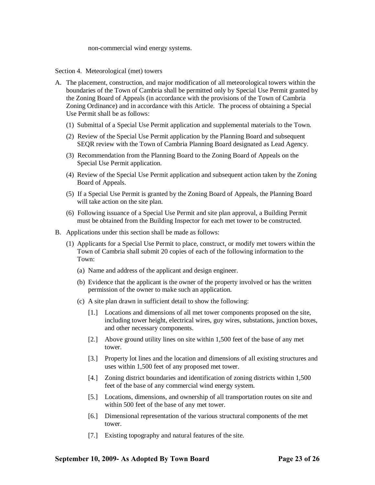non-commercial wind energy systems.

Section 4. Meteorological (met) towers

- A. The placement, construction, and major modification of all meteorological towers within the boundaries of the Town of Cambria shall be permitted only by Special Use Permit granted by the Zoning Board of Appeals (in accordance with the provisions of the Town of Cambria Zoning Ordinance) and in accordance with this Article. The process of obtaining a Special Use Permit shall be as follows:
	- (1) Submittal of a Special Use Permit application and supplemental materials to the Town.
	- (2) Review of the Special Use Permit application by the Planning Board and subsequent SEQR review with the Town of Cambria Planning Board designated as Lead Agency.
	- (3) Recommendation from the Planning Board to the Zoning Board of Appeals on the Special Use Permit application.
	- (4) Review of the Special Use Permit application and subsequent action taken by the Zoning Board of Appeals.
	- (5) If a Special Use Permit is granted by the Zoning Board of Appeals, the Planning Board will take action on the site plan.
	- (6) Following issuance of a Special Use Permit and site plan approval, a Building Permit must be obtained from the Building Inspector for each met tower to be constructed.
- B. Applications under this section shall be made as follows:
	- (1) Applicants for a Special Use Permit to place, construct, or modify met towers within the Town of Cambria shall submit 20 copies of each of the following information to the Town:
		- (a) Name and address of the applicant and design engineer.
		- (b) Evidence that the applicant is the owner of the property involved or has the written permission of the owner to make such an application.
		- (c) A site plan drawn in sufficient detail to show the following:
			- [1.] Locations and dimensions of all met tower components proposed on the site, including tower height, electrical wires, guy wires, substations, junction boxes, and other necessary components.
			- [2.] Above ground utility lines on site within 1,500 feet of the base of any met tower.
			- [3.] Property lot lines and the location and dimensions of all existing structures and uses within 1,500 feet of any proposed met tower.
			- [4.] Zoning district boundaries and identification of zoning districts within 1,500 feet of the base of any commercial wind energy system.
			- [5.] Locations, dimensions, and ownership of all transportation routes on site and within 500 feet of the base of any met tower.
			- [6.] Dimensional representation of the various structural components of the met tower.
			- [7.] Existing topography and natural features of the site.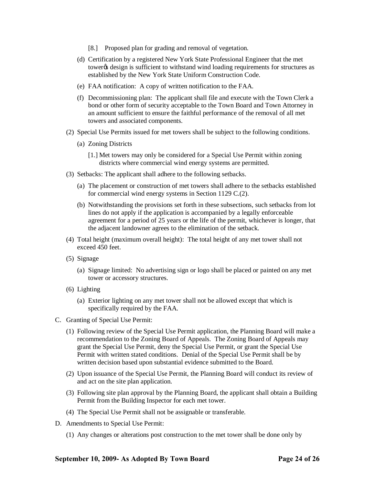- [8.] Proposed plan for grading and removal of vegetation.
- (d) Certification by a registered New York State Professional Engineer that the met tower $\alpha$  design is sufficient to withstand wind loading requirements for structures as established by the New York State Uniform Construction Code.
- (e) FAA notification: A copy of written notification to the FAA.
- (f) Decommissioning plan: The applicant shall file and execute with the Town Clerk a bond or other form of security acceptable to the Town Board and Town Attorney in an amount sufficient to ensure the faithful performance of the removal of all met towers and associated components.
- (2) Special Use Permits issued for met towers shall be subject to the following conditions.
	- (a) Zoning Districts
		- [1.] Met towers may only be considered for a Special Use Permit within zoning districts where commercial wind energy systems are permitted.
- (3) Setbacks: The applicant shall adhere to the following setbacks.
	- (a) The placement or construction of met towers shall adhere to the setbacks established for commercial wind energy systems in Section 1129 C.(2).
	- (b) Notwithstanding the provisions set forth in these subsections, such setbacks from lot lines do not apply if the application is accompanied by a legally enforceable agreement for a period of 25 years or the life of the permit, whichever is longer, that the adjacent landowner agrees to the elimination of the setback.
- (4) Total height (maximum overall height): The total height of any met tower shall not exceed 450 feet.
- (5) Signage
	- (a) Signage limited: No advertising sign or logo shall be placed or painted on any met tower or accessory structures.
- (6) Lighting
	- (a) Exterior lighting on any met tower shall not be allowed except that which is specifically required by the FAA.
- C. Granting of Special Use Permit:
	- (1) Following review of the Special Use Permit application, the Planning Board will make a recommendation to the Zoning Board of Appeals. The Zoning Board of Appeals may grant the Special Use Permit, deny the Special Use Permit, or grant the Special Use Permit with written stated conditions. Denial of the Special Use Permit shall be by written decision based upon substantial evidence submitted to the Board.
	- (2) Upon issuance of the Special Use Permit, the Planning Board will conduct its review of and act on the site plan application.
	- (3) Following site plan approval by the Planning Board, the applicant shall obtain a Building Permit from the Building Inspector for each met tower.
	- (4) The Special Use Permit shall not be assignable or transferable.
- D. Amendments to Special Use Permit:
	- (1) Any changes or alterations post construction to the met tower shall be done only by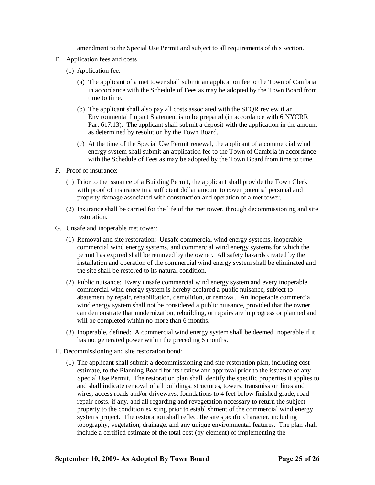amendment to the Special Use Permit and subject to all requirements of this section.

- E. Application fees and costs
	- (1) Application fee:
		- (a) The applicant of a met tower shall submit an application fee to the Town of Cambria in accordance with the Schedule of Fees as may be adopted by the Town Board from time to time.
		- (b) The applicant shall also pay all costs associated with the SEQR review if an Environmental Impact Statement is to be prepared (in accordance with 6 NYCRR Part 617.13). The applicant shall submit a deposit with the application in the amount as determined by resolution by the Town Board.
		- (c) At the time of the Special Use Permit renewal, the applicant of a commercial wind energy system shall submit an application fee to the Town of Cambria in accordance with the Schedule of Fees as may be adopted by the Town Board from time to time.
- F. Proof of insurance:
	- (1) Prior to the issuance of a Building Permit, the applicant shall provide the Town Clerk with proof of insurance in a sufficient dollar amount to cover potential personal and property damage associated with construction and operation of a met tower.
	- (2) Insurance shall be carried for the life of the met tower, through decommissioning and site restoration.
- G. Unsafe and inoperable met tower:
	- (1) Removal and site restoration: Unsafe commercial wind energy systems, inoperable commercial wind energy systems, and commercial wind energy systems for which the permit has expired shall be removed by the owner. All safety hazards created by the installation and operation of the commercial wind energy system shall be eliminated and the site shall be restored to its natural condition.
	- (2) Public nuisance: Every unsafe commercial wind energy system and every inoperable commercial wind energy system is hereby declared a public nuisance, subject to abatement by repair, rehabilitation, demolition, or removal. An inoperable commercial wind energy system shall not be considered a public nuisance, provided that the owner can demonstrate that modernization, rebuilding, or repairs are in progress or planned and will be completed within no more than 6 months.
	- (3) Inoperable, defined: A commercial wind energy system shall be deemed inoperable if it has not generated power within the preceding 6 months.
- H. Decommissioning and site restoration bond:
	- (1) The applicant shall submit a decommissioning and site restoration plan, including cost estimate, to the Planning Board for its review and approval prior to the issuance of any Special Use Permit. The restoration plan shall identify the specific properties it applies to and shall indicate removal of all buildings, structures, towers, transmission lines and wires, access roads and/or driveways, foundations to 4 feet below finished grade, road repair costs, if any, and all regarding and revegetation necessary to return the subject property to the condition existing prior to establishment of the commercial wind energy systems project. The restoration shall reflect the site specific character, including topography, vegetation, drainage, and any unique environmental features. The plan shall include a certified estimate of the total cost (by element) of implementing the